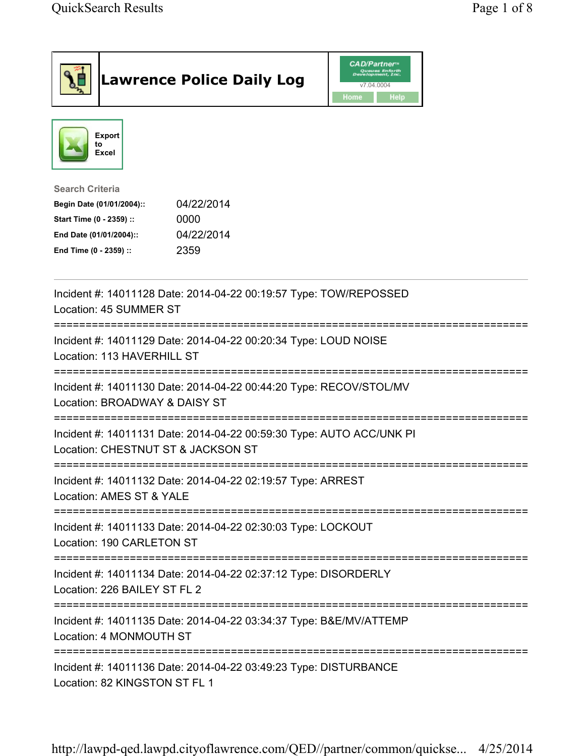| <b>Lawrence Police Daily Log</b>                                                                                                                                                 | <b>CAD/Partner</b> "<br>Queues Enforth<br>Development, Inc.<br>v7.04.0004<br>Home<br>Help |
|----------------------------------------------------------------------------------------------------------------------------------------------------------------------------------|-------------------------------------------------------------------------------------------|
| Export<br>to<br><b>Excel</b>                                                                                                                                                     |                                                                                           |
| <b>Search Criteria</b><br>04/22/2014<br>Begin Date (01/01/2004)::<br>Start Time (0 - 2359) ::<br>0000<br>04/22/2014<br>End Date (01/01/2004)::<br>2359<br>End Time (0 - 2359) :: |                                                                                           |
| Incident #: 14011128 Date: 2014-04-22 00:19:57 Type: TOW/REPOSSED<br>Location: 45 SUMMER ST                                                                                      |                                                                                           |
| Incident #: 14011129 Date: 2014-04-22 00:20:34 Type: LOUD NOISE<br>Location: 113 HAVERHILL ST                                                                                    |                                                                                           |
| Incident #: 14011130 Date: 2014-04-22 00:44:20 Type: RECOV/STOL/MV<br>Location: BROADWAY & DAISY ST                                                                              |                                                                                           |
| Incident #: 14011131 Date: 2014-04-22 00:59:30 Type: AUTO ACC/UNK PI<br>Location: CHESTNUT ST & JACKSON ST                                                                       |                                                                                           |
| Incident #: 14011132 Date: 2014-04-22 02:19:57 Type: ARREST<br>Location: AMES ST & YALE                                                                                          |                                                                                           |
| Incident #: 14011133 Date: 2014-04-22 02:30:03 Type: LOCKOUT<br>Location: 190 CARLETON ST                                                                                        |                                                                                           |
| Incident #: 14011134 Date: 2014-04-22 02:37:12 Type: DISORDERLY<br>Location: 226 BAILEY ST FL 2                                                                                  |                                                                                           |
| Incident #: 14011135 Date: 2014-04-22 03:34:37 Type: B&E/MV/ATTEMP<br>Location: 4 MONMOUTH ST                                                                                    |                                                                                           |
| Incident #: 14011136 Date: 2014-04-22 03:49:23 Type: DISTURBANCE<br>Location: 82 KINGSTON ST FL 1                                                                                |                                                                                           |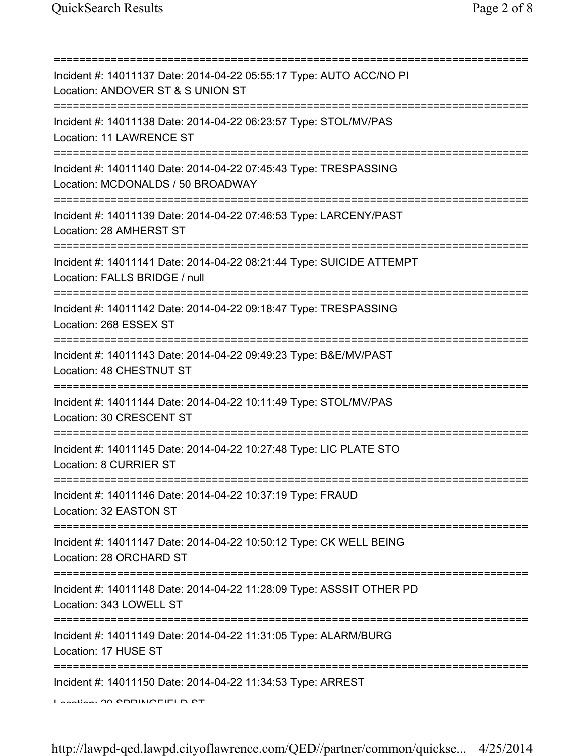=========================================================================== Incident #: 14011137 Date: 2014-04-22 05:55:17 Type: AUTO ACC/NO PI Location: ANDOVER ST & S UNION ST =========================================================================== Incident #: 14011138 Date: 2014-04-22 06:23:57 Type: STOL/MV/PAS Location: 11 LAWRENCE ST =========================================================================== Incident #: 14011140 Date: 2014-04-22 07:45:43 Type: TRESPASSING Location: MCDONALDS / 50 BROADWAY =========================================================================== Incident #: 14011139 Date: 2014-04-22 07:46:53 Type: LARCENY/PAST Location: 28 AMHERST ST =========================================================================== Incident #: 14011141 Date: 2014-04-22 08:21:44 Type: SUICIDE ATTEMPT Location: FALLS BRIDGE / null =========================================================================== Incident #: 14011142 Date: 2014-04-22 09:18:47 Type: TRESPASSING Location: 268 ESSEX ST =========================================================================== Incident #: 14011143 Date: 2014-04-22 09:49:23 Type: B&E/MV/PAST Location: 48 CHESTNUT ST =========================================================================== Incident #: 14011144 Date: 2014-04-22 10:11:49 Type: STOL/MV/PAS Location: 30 CRESCENT ST =========================================================================== Incident #: 14011145 Date: 2014-04-22 10:27:48 Type: LIC PLATE STO Location: 8 CURRIER ST =========================================================================== Incident #: 14011146 Date: 2014-04-22 10:37:19 Type: FRAUD Location: 32 EASTON ST =========================================================================== Incident #: 14011147 Date: 2014-04-22 10:50:12 Type: CK WELL BEING Location: 28 ORCHARD ST =========================================================================== Incident #: 14011148 Date: 2014-04-22 11:28:09 Type: ASSSIT OTHER PD Location: 343 LOWELL ST =========================================================================== Incident #: 14011149 Date: 2014-04-22 11:31:05 Type: ALARM/BURG Location: 17 HUSE ST =========================================================================== Incident #: 14011150 Date: 2014-04-22 11:34:53 Type: ARREST Location: 29 SPRINGFIELD ST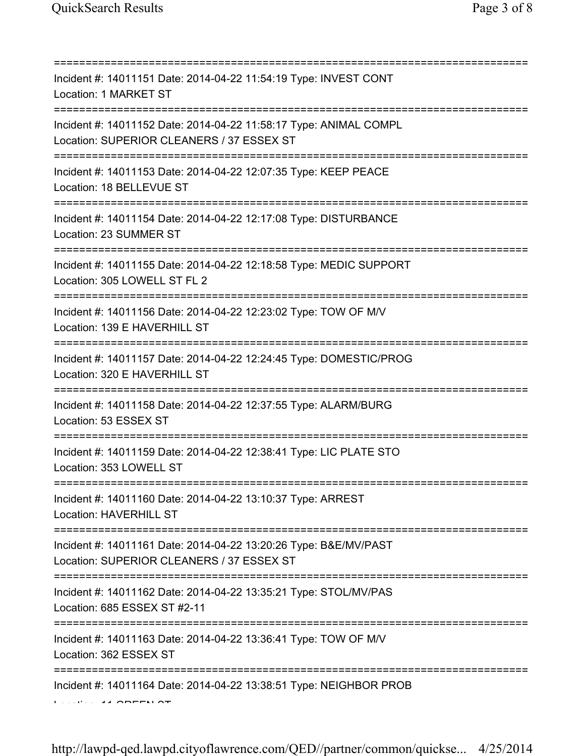| Incident #: 14011151 Date: 2014-04-22 11:54:19 Type: INVEST CONT<br>Location: 1 MARKET ST                                               |
|-----------------------------------------------------------------------------------------------------------------------------------------|
| Incident #: 14011152 Date: 2014-04-22 11:58:17 Type: ANIMAL COMPL<br>Location: SUPERIOR CLEANERS / 37 ESSEX ST                          |
| Incident #: 14011153 Date: 2014-04-22 12:07:35 Type: KEEP PEACE<br>Location: 18 BELLEVUE ST                                             |
| Incident #: 14011154 Date: 2014-04-22 12:17:08 Type: DISTURBANCE<br>Location: 23 SUMMER ST                                              |
| Incident #: 14011155 Date: 2014-04-22 12:18:58 Type: MEDIC SUPPORT<br>Location: 305 LOWELL ST FL 2                                      |
| Incident #: 14011156 Date: 2014-04-22 12:23:02 Type: TOW OF M/V<br>Location: 139 E HAVERHILL ST<br>==================================== |
| Incident #: 14011157 Date: 2014-04-22 12:24:45 Type: DOMESTIC/PROG<br>Location: 320 E HAVERHILL ST                                      |
| Incident #: 14011158 Date: 2014-04-22 12:37:55 Type: ALARM/BURG<br>Location: 53 ESSEX ST                                                |
| Incident #: 14011159 Date: 2014-04-22 12:38:41 Type: LIC PLATE STO<br>Location: 353 LOWELL ST                                           |
| Incident #: 14011160 Date: 2014-04-22 13:10:37 Type: ARREST<br>Location: HAVERHILL ST                                                   |
| Incident #: 14011161 Date: 2014-04-22 13:20:26 Type: B&E/MV/PAST<br>Location: SUPERIOR CLEANERS / 37 ESSEX ST                           |
| Incident #: 14011162 Date: 2014-04-22 13:35:21 Type: STOL/MV/PAS<br>Location: 685 ESSEX ST #2-11                                        |
| Incident #: 14011163 Date: 2014-04-22 13:36:41 Type: TOW OF M/V<br>Location: 362 ESSEX ST                                               |
| Incident #: 14011164 Date: 2014-04-22 13:38:51 Type: NEIGHBOR PROB                                                                      |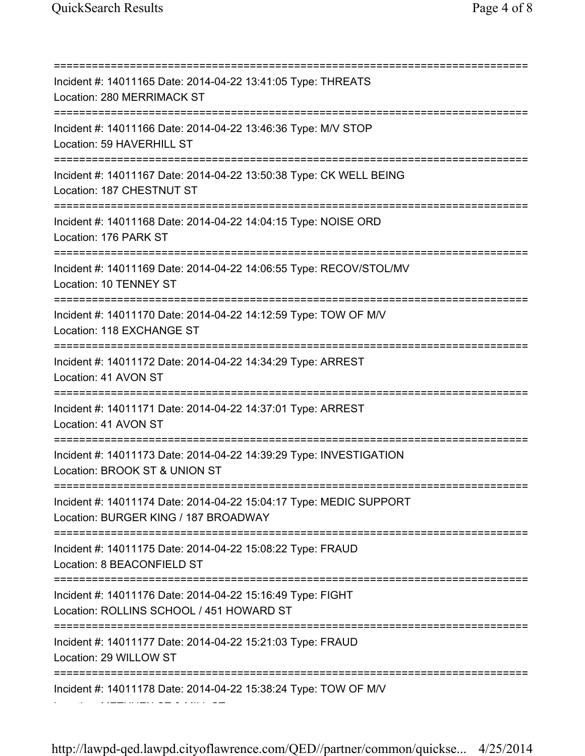=========================================================================== Incident #: 14011165 Date: 2014-04-22 13:41:05 Type: THREATS Location: 280 MERRIMACK ST =========================================================================== Incident #: 14011166 Date: 2014-04-22 13:46:36 Type: M/V STOP Location: 59 HAVERHILL ST =========================================================================== Incident #: 14011167 Date: 2014-04-22 13:50:38 Type: CK WELL BEING Location: 187 CHESTNUT ST =========================================================================== Incident #: 14011168 Date: 2014-04-22 14:04:15 Type: NOISE ORD Location: 176 PARK ST =========================================================================== Incident #: 14011169 Date: 2014-04-22 14:06:55 Type: RECOV/STOL/MV Location: 10 TENNEY ST =========================================================================== Incident #: 14011170 Date: 2014-04-22 14:12:59 Type: TOW OF M/V Location: 118 EXCHANGE ST =========================================================================== Incident #: 14011172 Date: 2014-04-22 14:34:29 Type: ARREST Location: 41 AVON ST =========================================================================== Incident #: 14011171 Date: 2014-04-22 14:37:01 Type: ARREST Location: 41 AVON ST =========================================================================== Incident #: 14011173 Date: 2014-04-22 14:39:29 Type: INVESTIGATION Location: BROOK ST & UNION ST =========================================================================== Incident #: 14011174 Date: 2014-04-22 15:04:17 Type: MEDIC SUPPORT Location: BURGER KING / 187 BROADWAY =========================================================================== Incident #: 14011175 Date: 2014-04-22 15:08:22 Type: FRAUD Location: 8 BEACONFIELD ST =========================================================================== Incident #: 14011176 Date: 2014-04-22 15:16:49 Type: FIGHT Location: ROLLINS SCHOOL / 451 HOWARD ST =========================================================================== Incident #: 14011177 Date: 2014-04-22 15:21:03 Type: FRAUD Location: 29 WILLOW ST =========================================================================== Incident #: 14011178 Date: 2014-04-22 15:38:24 Type: TOW OF M/V

Location: METHUEN ST & MILL ST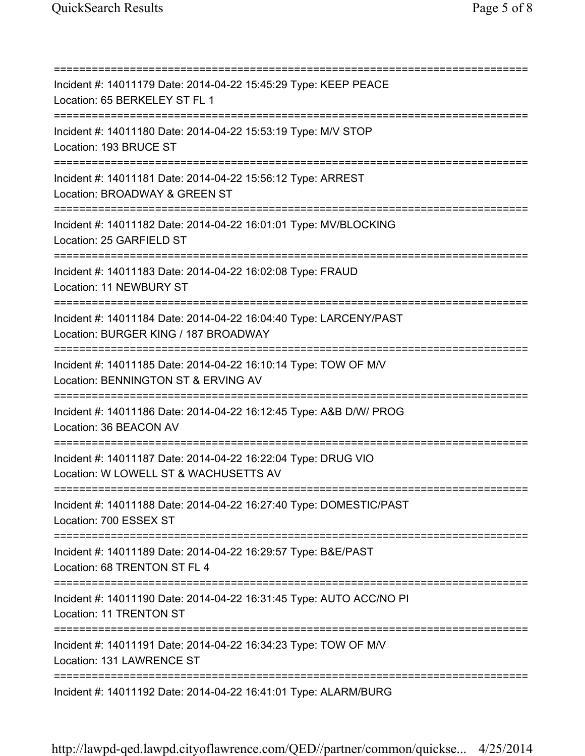=========================================================================== Incident #: 14011179 Date: 2014-04-22 15:45:29 Type: KEEP PEACE Location: 65 BERKELEY ST FL 1 =========================================================================== Incident #: 14011180 Date: 2014-04-22 15:53:19 Type: M/V STOP Location: 193 BRUCE ST =========================================================================== Incident #: 14011181 Date: 2014-04-22 15:56:12 Type: ARREST Location: BROADWAY & GREEN ST =========================================================================== Incident #: 14011182 Date: 2014-04-22 16:01:01 Type: MV/BLOCKING Location: 25 GARFIELD ST =========================================================================== Incident #: 14011183 Date: 2014-04-22 16:02:08 Type: FRAUD Location: 11 NEWBURY ST =========================================================================== Incident #: 14011184 Date: 2014-04-22 16:04:40 Type: LARCENY/PAST Location: BURGER KING / 187 BROADWAY =========================================================================== Incident #: 14011185 Date: 2014-04-22 16:10:14 Type: TOW OF M/V Location: BENNINGTON ST & ERVING AV =========================================================================== Incident #: 14011186 Date: 2014-04-22 16:12:45 Type: A&B D/W/ PROG Location: 36 BEACON AV =========================================================================== Incident #: 14011187 Date: 2014-04-22 16:22:04 Type: DRUG VIO Location: W LOWELL ST & WACHUSETTS AV =========================================================================== Incident #: 14011188 Date: 2014-04-22 16:27:40 Type: DOMESTIC/PAST Location: 700 ESSEX ST =========================================================================== Incident #: 14011189 Date: 2014-04-22 16:29:57 Type: B&E/PAST Location: 68 TRENTON ST FL 4 =========================================================================== Incident #: 14011190 Date: 2014-04-22 16:31:45 Type: AUTO ACC/NO PI Location: 11 TRENTON ST =========================================================================== Incident #: 14011191 Date: 2014-04-22 16:34:23 Type: TOW OF M/V Location: 131 LAWRENCE ST =========================================================================== Incident #: 14011192 Date: 2014-04-22 16:41:01 Type: ALARM/BURG

http://lawpd-qed.lawpd.cityoflawrence.com/QED//partner/common/quickse... 4/25/2014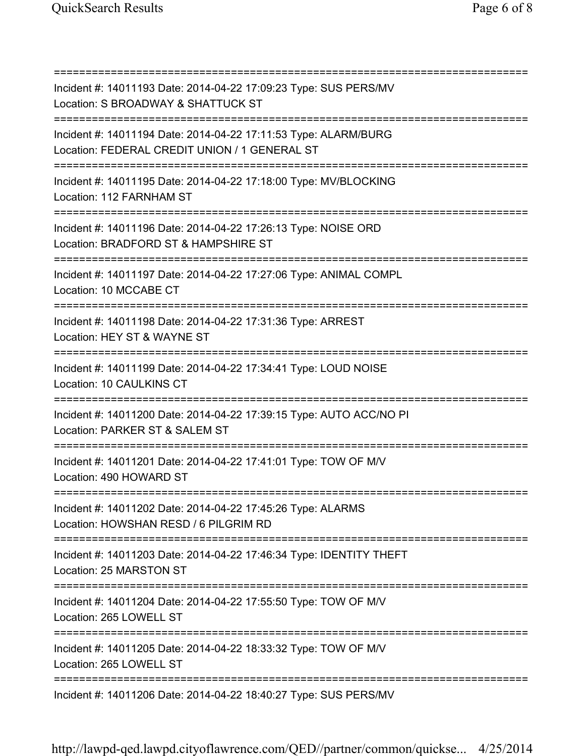=========================================================================== Incident #: 14011193 Date: 2014-04-22 17:09:23 Type: SUS PERS/MV Location: S BROADWAY & SHATTUCK ST =========================================================================== Incident #: 14011194 Date: 2014-04-22 17:11:53 Type: ALARM/BURG Location: FEDERAL CREDIT UNION / 1 GENERAL ST =========================================================================== Incident #: 14011195 Date: 2014-04-22 17:18:00 Type: MV/BLOCKING Location: 112 FARNHAM ST =========================================================================== Incident #: 14011196 Date: 2014-04-22 17:26:13 Type: NOISE ORD Location: BRADFORD ST & HAMPSHIRE ST =========================================================================== Incident #: 14011197 Date: 2014-04-22 17:27:06 Type: ANIMAL COMPL Location: 10 MCCABE CT =========================================================================== Incident #: 14011198 Date: 2014-04-22 17:31:36 Type: ARREST Location: HEY ST & WAYNE ST =========================================================================== Incident #: 14011199 Date: 2014-04-22 17:34:41 Type: LOUD NOISE Location: 10 CAULKINS CT =========================================================================== Incident #: 14011200 Date: 2014-04-22 17:39:15 Type: AUTO ACC/NO PI Location: PARKER ST & SALEM ST =========================================================================== Incident #: 14011201 Date: 2014-04-22 17:41:01 Type: TOW OF M/V Location: 490 HOWARD ST =========================================================================== Incident #: 14011202 Date: 2014-04-22 17:45:26 Type: ALARMS Location: HOWSHAN RESD / 6 PILGRIM RD =========================================================================== Incident #: 14011203 Date: 2014-04-22 17:46:34 Type: IDENTITY THEFT Location: 25 MARSTON ST =========================================================================== Incident #: 14011204 Date: 2014-04-22 17:55:50 Type: TOW OF M/V Location: 265 LOWELL ST =========================================================================== Incident #: 14011205 Date: 2014-04-22 18:33:32 Type: TOW OF M/V Location: 265 LOWELL ST =========================================================================== Incident #: 14011206 Date: 2014-04-22 18:40:27 Type: SUS PERS/MV

http://lawpd-qed.lawpd.cityoflawrence.com/QED//partner/common/quickse... 4/25/2014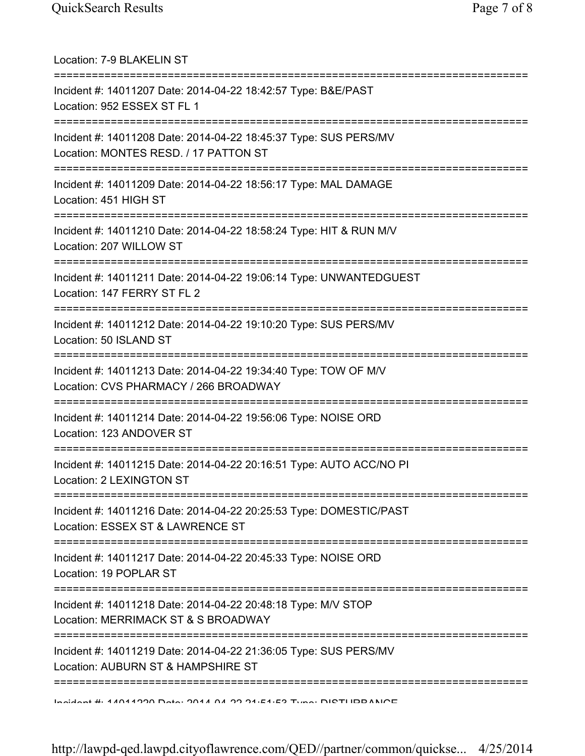| Location: 7-9 BLAKELIN ST                                                                                                                 |
|-------------------------------------------------------------------------------------------------------------------------------------------|
| Incident #: 14011207 Date: 2014-04-22 18:42:57 Type: B&E/PAST<br>Location: 952 ESSEX ST FL 1                                              |
| Incident #: 14011208 Date: 2014-04-22 18:45:37 Type: SUS PERS/MV<br>Location: MONTES RESD. / 17 PATTON ST                                 |
| Incident #: 14011209 Date: 2014-04-22 18:56:17 Type: MAL DAMAGE<br>Location: 451 HIGH ST                                                  |
| Incident #: 14011210 Date: 2014-04-22 18:58:24 Type: HIT & RUN M/V<br>Location: 207 WILLOW ST                                             |
| ====================================<br>Incident #: 14011211 Date: 2014-04-22 19:06:14 Type: UNWANTEDGUEST<br>Location: 147 FERRY ST FL 2 |
| ==================================<br>Incident #: 14011212 Date: 2014-04-22 19:10:20 Type: SUS PERS/MV<br>Location: 50 ISLAND ST          |
| Incident #: 14011213 Date: 2014-04-22 19:34:40 Type: TOW OF M/V<br>Location: CVS PHARMACY / 266 BROADWAY                                  |
| Incident #: 14011214 Date: 2014-04-22 19:56:06 Type: NOISE ORD<br>Location: 123 ANDOVER ST                                                |
| Incident #: 14011215 Date: 2014-04-22 20:16:51 Type: AUTO ACC/NO PI<br>Location: 2 LEXINGTON ST                                           |
| Incident #: 14011216 Date: 2014-04-22 20:25:53 Type: DOMESTIC/PAST<br>Location: ESSEX ST & LAWRENCE ST                                    |
| Incident #: 14011217 Date: 2014-04-22 20:45:33 Type: NOISE ORD<br>Location: 19 POPLAR ST                                                  |
| Incident #: 14011218 Date: 2014-04-22 20:48:18 Type: M/V STOP<br>Location: MERRIMACK ST & S BROADWAY                                      |
| Incident #: 14011219 Date: 2014-04-22 21:36:05 Type: SUS PERS/MV<br>Location: AUBURN ST & HAMPSHIRE ST                                    |
| Hooked H. 4.4044000 Data: 004.4 04.00 04-E4-E9 Tuno: DICTHIDDANIOE                                                                        |